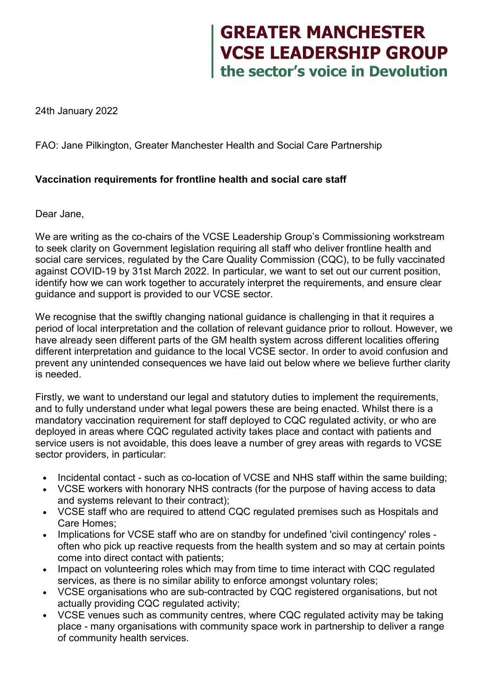## **GREATER MANCHESTER<br>VCSE LEADERSHIP GROUP<br>the sector's voice in Devolution**

24th January 2022

FAO: Jane Pilkington, Greater Manchester Health and Social Care Partnership

## **Vaccination requirements for frontline health and social care staff**

Dear Jane,

We are writing as the co-chairs of the VCSE Leadership Group's Commissioning workstream to seek clarity on Government legislation requiring all staff who deliver frontline health and social care services, regulated by the Care Quality Commission (CQC), to be fully vaccinated against COVID-19 by 31st March 2022. In particular, we want to set out our current position, identify how we can work together to accurately interpret the requirements, and ensure clear guidance and support is provided to our VCSE sector.

We recognise that the swiftly changing national guidance is challenging in that it requires a period of local interpretation and the collation of relevant guidance prior to rollout. However, we have already seen different parts of the GM health system across different localities offering different interpretation and guidance to the local VCSE sector. In order to avoid confusion and prevent any unintended consequences we have laid out below where we believe further clarity is needed.

Firstly, we want to understand our legal and statutory duties to implement the requirements, and to fully understand under what legal powers these are being enacted. Whilst there is a mandatory vaccination requirement for staff deployed to CQC regulated activity, or who are deployed in areas where CQC regulated activity takes place and contact with patients and service users is not avoidable, this does leave a number of grey areas with regards to VCSE sector providers, in particular:

- Incidental contact such as co-location of VCSE and NHS staff within the same building;
- VCSE workers with honorary NHS contracts (for the purpose of having access to data and systems relevant to their contract);
- VCSE staff who are required to attend CQC regulated premises such as Hospitals and Care Homes;
- Implications for VCSE staff who are on standby for undefined 'civil contingency' roles often who pick up reactive requests from the health system and so may at certain points come into direct contact with patients;
- Impact on volunteering roles which may from time to time interact with CQC regulated services, as there is no similar ability to enforce amongst voluntary roles;
- VCSE organisations who are sub-contracted by CQC registered organisations, but not actually providing CQC regulated activity;
- VCSE venues such as community centres, where CQC regulated activity may be taking place - many organisations with community space work in partnership to deliver a range of community health services.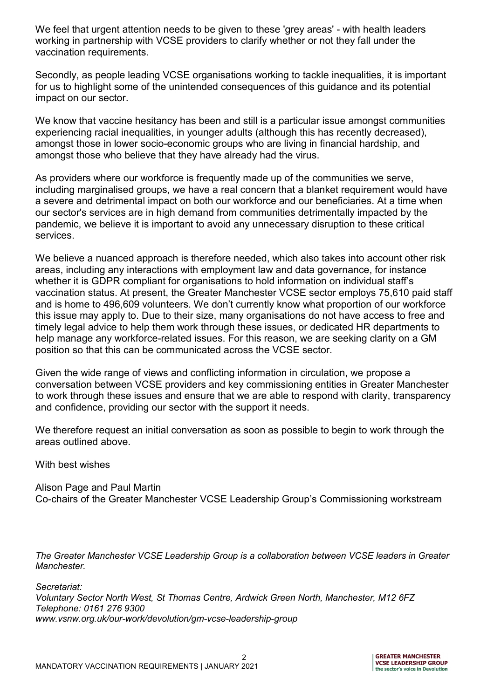We feel that urgent attention needs to be given to these 'grey areas' - with health leaders working in partnership with VCSE providers to clarify whether or not they fall under the vaccination requirements.

Secondly, as people leading VCSE organisations working to tackle inequalities, it is important for us to highlight some of the unintended consequences of this guidance and its potential impact on our sector.

We know that vaccine hesitancy has been and still is a particular issue amongst communities experiencing racial inequalities, in younger adults (although this has recently decreased), amongst those in lower socio-economic groups who are living in financial hardship, and amongst those who believe that they have already had the virus.

As providers where our workforce is frequently made up of the communities we serve, including marginalised groups, we have a real concern that a blanket requirement would have a severe and detrimental impact on both our workforce and our beneficiaries. At a time when our sector's services are in high demand from communities detrimentally impacted by the pandemic, we believe it is important to avoid any unnecessary disruption to these critical services.

We believe a nuanced approach is therefore needed, which also takes into account other risk areas, including any interactions with employment law and data governance, for instance whether it is GDPR compliant for organisations to hold information on individual staff's vaccination status. At present, the Greater Manchester VCSE sector employs 75,610 paid staff and is home to 496,609 volunteers. We don't currently know what proportion of our workforce this issue may apply to. Due to their size, many organisations do not have access to free and timely legal advice to help them work through these issues, or dedicated HR departments to help manage any workforce-related issues. For this reason, we are seeking clarity on a GM position so that this can be communicated across the VCSE sector.

Given the wide range of views and conflicting information in circulation, we propose a conversation between VCSE providers and key commissioning entities in Greater Manchester to work through these issues and ensure that we are able to respond with clarity, transparency and confidence, providing our sector with the support it needs.

We therefore request an initial conversation as soon as possible to begin to work through the areas outlined above.

With best wishes

Alison Page and Paul Martin Co-chairs of the Greater Manchester VCSE Leadership Group's Commissioning workstream

*The Greater Manchester VCSE Leadership Group is a collaboration between VCSE leaders in Greater Manchester.*

*Secretariat: Voluntary Sector North West, St Thomas Centre, Ardwick Green North, Manchester, M12 6FZ Telephone: 0161 276 9300 www.vsnw.org.uk/our-work/devolution/gm-vcse-leadership-group*